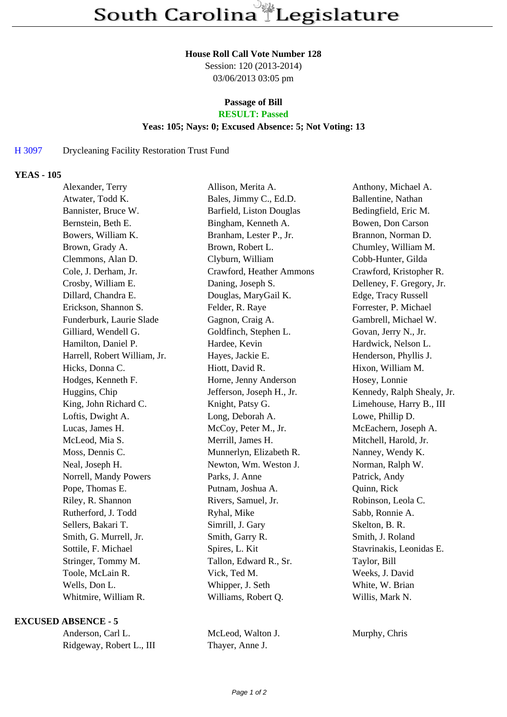#### **House Roll Call Vote Number 128**

Session: 120 (2013-2014) 03/06/2013 03:05 pm

# **Passage of Bill**

# **RESULT: Passed**

### **Yeas: 105; Nays: 0; Excused Absence: 5; Not Voting: 13**

### H 3097 Drycleaning Facility Restoration Trust Fund

#### **YEAS - 105**

| Alexander, Terry             | Allison, Merita A.        | Anthony, Michael A.        |
|------------------------------|---------------------------|----------------------------|
| Atwater, Todd K.             | Bales, Jimmy C., Ed.D.    | Ballentine, Nathan         |
| Bannister, Bruce W.          | Barfield, Liston Douglas  | Bedingfield, Eric M.       |
| Bernstein, Beth E.           | Bingham, Kenneth A.       | Bowen, Don Carson          |
| Bowers, William K.           | Branham, Lester P., Jr.   | Brannon, Norman D.         |
| Brown, Grady A.              | Brown, Robert L.          | Chumley, William M.        |
| Clemmons, Alan D.            | Clyburn, William          | Cobb-Hunter, Gilda         |
| Cole, J. Derham, Jr.         | Crawford, Heather Ammons  | Crawford, Kristopher R.    |
| Crosby, William E.           | Daning, Joseph S.         | Delleney, F. Gregory, Jr.  |
| Dillard, Chandra E.          | Douglas, MaryGail K.      | Edge, Tracy Russell        |
| Erickson, Shannon S.         | Felder, R. Raye           | Forrester, P. Michael      |
| Funderburk, Laurie Slade     | Gagnon, Craig A.          | Gambrell, Michael W.       |
| Gilliard, Wendell G.         | Goldfinch, Stephen L.     | Govan, Jerry N., Jr.       |
| Hamilton, Daniel P.          | Hardee, Kevin             | Hardwick, Nelson L.        |
| Harrell, Robert William, Jr. | Hayes, Jackie E.          | Henderson, Phyllis J.      |
| Hicks, Donna C.              | Hiott, David R.           | Hixon, William M.          |
| Hodges, Kenneth F.           | Horne, Jenny Anderson     | Hosey, Lonnie              |
| Huggins, Chip                | Jefferson, Joseph H., Jr. | Kennedy, Ralph Shealy, Jr. |
| King, John Richard C.        | Knight, Patsy G.          | Limehouse, Harry B., III   |
| Loftis, Dwight A.            | Long, Deborah A.          | Lowe, Phillip D.           |
| Lucas, James H.              | McCoy, Peter M., Jr.      | McEachern, Joseph A.       |
| McLeod, Mia S.               | Merrill, James H.         | Mitchell, Harold, Jr.      |
| Moss, Dennis C.              | Munnerlyn, Elizabeth R.   | Nanney, Wendy K.           |
| Neal, Joseph H.              | Newton, Wm. Weston J.     | Norman, Ralph W.           |
| Norrell, Mandy Powers        | Parks, J. Anne            | Patrick, Andy              |
| Pope, Thomas E.              | Putnam, Joshua A.         | Quinn, Rick                |
| Riley, R. Shannon            | Rivers, Samuel, Jr.       | Robinson, Leola C.         |
| Rutherford, J. Todd          | Ryhal, Mike               | Sabb, Ronnie A.            |
| Sellers, Bakari T.           | Simrill, J. Gary          | Skelton, B. R.             |
| Smith, G. Murrell, Jr.       | Smith, Garry R.           | Smith, J. Roland           |
| Sottile, F. Michael          | Spires, L. Kit            | Stavrinakis, Leonidas E.   |
| Stringer, Tommy M.           | Tallon, Edward R., Sr.    | Taylor, Bill               |
| Toole, McLain R.             | Vick, Ted M.              | Weeks, J. David            |
| Wells, Don L.                | Whipper, J. Seth          | White, W. Brian            |
| Whitmire, William R.         | Williams, Robert Q.       | Willis, Mark N.            |
|                              |                           |                            |

#### **EXCUSED ABSENCE - 5**

| Anderson, Carl L.        |  |  |
|--------------------------|--|--|
| Ridgeway, Robert L., III |  |  |

McLeod, Walton J. Murphy, Chris Thayer, Anne J.